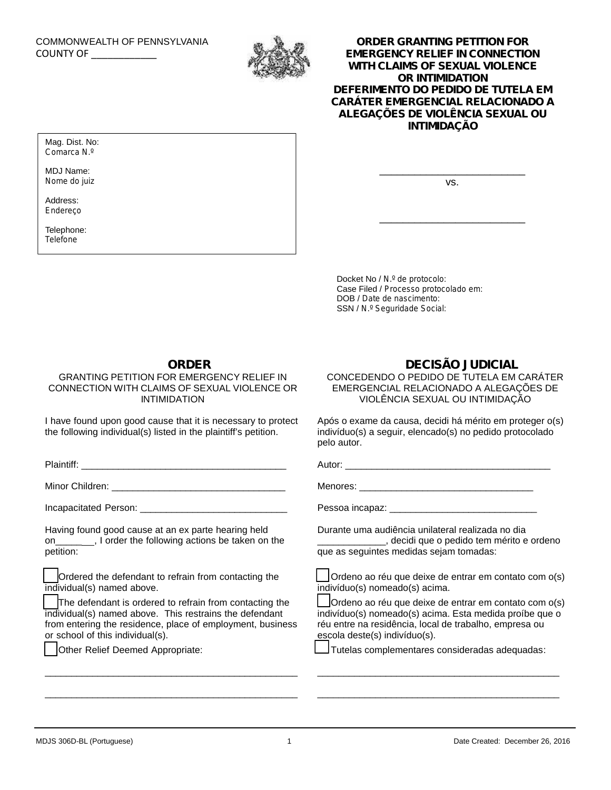

## COUNTY OF \_\_\_\_\_\_\_\_\_\_\_\_ **ORDER GRANTING PETITION FOR EMERGENCY RELIEF IN CONNECTION WITH CLAIMS OF SEXUAL VIOLENCE OR INTIMIDATION** *DEFERIMENTO DO PEDIDO DE TUTELA EM CARÁTER EMERGENCIAL RELACIONADO A ALEGAÇÕES DE VIOLÊNCIA SEXUAL OU INTIMIDAÇÃO*

Mag. Dist. No: *Comarca N.º*

MDJ Name: *Nome do juiz*

Address: *Endereço*

Telephone: *Telefone*

vs.

\_\_\_\_\_\_\_\_\_\_\_\_\_\_\_\_\_\_\_\_\_\_\_\_\_

\_\_\_\_\_\_\_\_\_\_\_\_\_\_\_\_\_\_\_\_\_\_\_\_\_

Docket No / *N.º de protocolo*: Case Filed / *Processo protocolado em*: DOB / *Date de nascimento*: SSN / *N.º Seguridade Social*:

# **ORDER**

#### GRANTING PETITION FOR EMERGENCY RELIEF IN CONNECTION WITH CLAIMS OF SEXUAL VIOLENCE OR INTIMIDATION

I have found upon good cause that it is necessary to protect the following individual(s) listed in the plaintiff's petition.

Plaintiff: \_\_\_\_\_\_\_\_\_\_\_\_\_\_\_\_\_\_\_\_\_\_\_\_\_\_\_\_\_\_\_\_\_\_\_\_\_\_\_

Minor Children: **William** School Children:

Incapacitated Person: \_\_\_\_\_\_\_\_\_\_\_\_\_\_\_\_\_\_\_\_\_\_\_\_\_\_\_\_

Having found good cause at an ex parte hearing held on\_\_\_\_\_\_\_, I order the following actions be taken on the petition:

Ordered the defendant to refrain from contacting the individual(s) named above.

The defendant is ordered to refrain from contacting the individual(s) named above. This restrains the defendant from entering the residence, place of employment, business or school of this individual(s).

\_\_\_\_\_\_\_\_\_\_\_\_\_\_\_\_\_\_\_\_\_\_\_\_\_\_\_\_\_\_\_\_\_\_\_\_\_\_\_\_\_\_\_\_\_\_\_\_

\_\_\_\_\_\_\_\_\_\_\_\_\_\_\_\_\_\_\_\_\_\_\_\_\_\_\_\_\_\_\_\_\_\_\_\_\_\_\_\_\_\_\_\_\_\_\_\_

Other Relief Deemed Appropriate:

### **DECISÃO JUDICIAL**

CONCEDENDO O PEDIDO DE TUTELA EM CARÁTER EMERGENCIAL RELACIONADO A ALEGAÇÕES DE VIOLÊNCIA SEXUAL OU INTIMIDAÇÃO

Após o exame da causa, decidi há mérito em proteger o(s) indivíduo(s) a seguir, elencado(s) no pedido protocolado pelo autor.

Autor: \_\_\_\_\_\_\_\_\_\_\_\_\_\_\_\_\_\_\_\_\_\_\_\_\_\_\_\_\_\_\_\_\_\_\_\_\_\_\_

Menores: **Example 20**  $\sim$  2008  $\sim$  2008  $\sim$  2008  $\sim$  2008  $\sim$  2008  $\sim$  2008  $\sim$  2008  $\sim$  2008  $\sim$  2008  $\sim$  2008  $\sim$  2008  $\sim$  2008  $\sim$  2008  $\sim$  2008  $\sim$  2008  $\sim$  2008  $\sim$  2008  $\sim$  2008  $\sim$  2008  $\sim$  2008

Pessoa incapaz: \_\_\_\_\_\_\_\_\_\_\_\_\_\_\_\_\_\_\_\_\_\_\_\_\_\_\_\_

Durante uma audiência unilateral realizada no dia \_\_\_\_\_\_\_\_\_\_\_\_\_, decidi que o pedido tem mérito e ordeno que as seguintes medidas sejam tomadas:

Ordeno ao réu que deixe de entrar em contato com o(s) indivíduo(s) nomeado(s) acima.

Ordeno ao réu que deixe de entrar em contato com o(s) indivíduo(s) nomeado(s) acima. Esta medida proíbe que o réu entre na residência, local de trabalho, empresa ou escola deste(s) indivíduo(s).

\_\_\_\_\_\_\_\_\_\_\_\_\_\_\_\_\_\_\_\_\_\_\_\_\_\_\_\_\_\_\_\_\_\_\_\_\_\_\_\_\_\_\_\_\_\_

\_\_\_\_\_\_\_\_\_\_\_\_\_\_\_\_\_\_\_\_\_\_\_\_\_\_\_\_\_\_\_\_\_\_\_\_\_\_\_\_\_\_\_\_\_\_

Tutelas complementares consideradas adequadas: